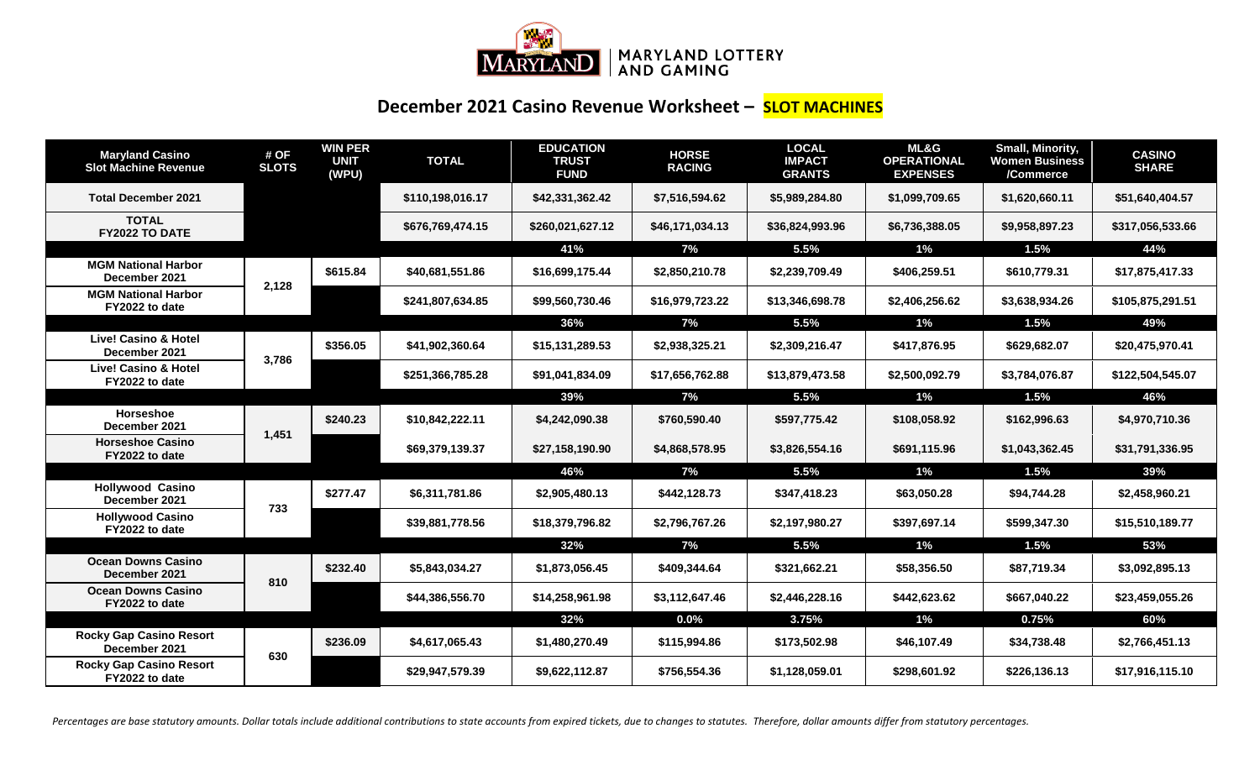

## **December 2021 Casino Revenue Worksheet – SLOT MACHINES**

| <b>Maryland Casino</b><br><b>Slot Machine Revenue</b> | # OF<br><b>SLOTS</b> | <b>WIN PER</b><br><b>UNIT</b><br>(WPU) | <b>TOTAL</b>     | <b>EDUCATION</b><br><b>TRUST</b><br><b>FUND</b> | <b>HORSE</b><br><b>RACING</b> | <b>LOCAL</b><br><b>IMPACT</b><br><b>GRANTS</b> | <b>ML&amp;G</b><br><b>OPERATIONAL</b><br><b>EXPENSES</b> | Small, Minority,<br><b>Women Business</b><br>/Commerce | <b>CASINO</b><br><b>SHARE</b> |
|-------------------------------------------------------|----------------------|----------------------------------------|------------------|-------------------------------------------------|-------------------------------|------------------------------------------------|----------------------------------------------------------|--------------------------------------------------------|-------------------------------|
| <b>Total December 2021</b>                            |                      |                                        | \$110,198,016.17 | \$42,331,362.42                                 | \$7,516,594.62                | \$5,989,284.80                                 | \$1,099,709.65                                           | \$1,620,660.11                                         | \$51,640,404.57               |
| <b>TOTAL</b><br>FY2022 TO DATE                        |                      |                                        | \$676,769,474.15 | \$260,021,627.12                                | \$46,171,034.13               | \$36,824,993.96                                | \$6,736,388.05                                           | \$9,958,897.23                                         | \$317,056,533.66              |
|                                                       |                      |                                        |                  | 41%                                             | 7%                            | 5.5%                                           | 1%                                                       | 1.5%                                                   | 44%                           |
| <b>MGM National Harbor</b><br>December 2021           | 2,128                | \$615.84                               | \$40,681,551.86  | \$16,699,175.44                                 | \$2,850,210.78                | \$2,239,709.49                                 | \$406,259.51                                             | \$610,779.31                                           | \$17,875,417.33               |
| <b>MGM National Harbor</b><br>FY2022 to date          |                      |                                        | \$241,807,634.85 | \$99,560,730.46                                 | \$16,979,723.22               | \$13,346,698.78                                | \$2,406,256.62                                           | \$3,638,934.26                                         | \$105,875,291.51              |
|                                                       |                      |                                        |                  | 36%                                             | 7%                            | 5.5%                                           | $1\%$                                                    | 1.5%                                                   | 49%                           |
| <b>Live! Casino &amp; Hotel</b><br>December 2021      | 3,786                | \$356.05                               | \$41,902,360.64  | \$15,131,289.53                                 | \$2,938,325.21                | \$2,309,216.47                                 | \$417,876.95                                             | \$629,682.07                                           | \$20,475,970.41               |
| <b>Live! Casino &amp; Hotel</b><br>FY2022 to date     |                      |                                        | \$251,366,785.28 | \$91,041,834.09                                 | \$17,656,762.88               | \$13,879,473.58                                | \$2,500,092.79                                           | \$3,784,076.87                                         | \$122,504,545.07              |
|                                                       |                      |                                        |                  | 39%                                             | 7%                            | 5.5%                                           | $1\%$                                                    | 1.5%                                                   | 46%                           |
| Horseshoe<br>December 2021                            | 1,451                | \$240.23                               | \$10,842,222.11  | \$4,242,090.38                                  | \$760,590.40                  | \$597,775.42                                   | \$108,058.92                                             | \$162,996.63                                           | \$4,970,710.36                |
| <b>Horseshoe Casino</b><br>FY2022 to date             |                      |                                        | \$69,379,139.37  | \$27,158,190.90                                 | \$4,868,578.95                | \$3,826,554.16                                 | \$691,115.96                                             | \$1,043,362.45                                         | \$31,791,336.95               |
|                                                       |                      |                                        |                  | 46%                                             | 7%                            | 5.5%                                           | $1\%$                                                    | 1.5%                                                   | 39%                           |
| <b>Hollywood Casino</b><br>December 2021              | 733                  | \$277.47                               | \$6,311,781.86   | \$2,905,480.13                                  | \$442,128.73                  | \$347,418.23                                   | \$63,050.28                                              | \$94,744.28                                            | \$2,458,960.21                |
| <b>Hollywood Casino</b><br>FY2022 to date             |                      |                                        | \$39,881,778.56  | \$18,379,796.82                                 | \$2,796,767.26                | \$2,197,980.27                                 | \$397,697.14                                             | \$599,347.30                                           | \$15,510,189.77               |
|                                                       |                      |                                        |                  | 32%                                             | 7%                            | 5.5%                                           | $1\%$                                                    | 1.5%                                                   | 53%                           |
| <b>Ocean Downs Casino</b><br>December 2021            | 810                  | \$232.40                               | \$5,843,034.27   | \$1,873,056.45                                  | \$409,344.64                  | \$321,662.21                                   | \$58,356.50                                              | \$87,719.34                                            | \$3,092,895.13                |
| <b>Ocean Downs Casino</b><br>FY2022 to date           |                      |                                        | \$44,386,556.70  | \$14,258,961.98                                 | \$3,112,647.46                | \$2,446,228.16                                 | \$442,623.62                                             | \$667,040.22                                           | \$23,459,055.26               |
|                                                       |                      |                                        |                  | 32%                                             | $0.0\%$                       | 3.75%                                          | $1\%$                                                    | 0.75%                                                  | 60%                           |
| <b>Rocky Gap Casino Resort</b><br>December 2021       | 630                  | \$236.09                               | \$4,617,065.43   | \$1,480,270.49                                  | \$115,994.86                  | \$173,502.98                                   | \$46,107.49                                              | \$34,738.48                                            | \$2,766,451.13                |
| <b>Rocky Gap Casino Resort</b><br>FY2022 to date      |                      |                                        | \$29,947,579.39  | \$9,622,112.87                                  | \$756,554.36                  | \$1,128,059.01                                 | \$298,601.92                                             | \$226,136.13                                           | \$17,916,115.10               |

Percentages are base statutory amounts. Dollar totals include additional contributions to state accounts from expired tickets, due to changes to statutes. Therefore, dollar amounts differ from statutory percentages.